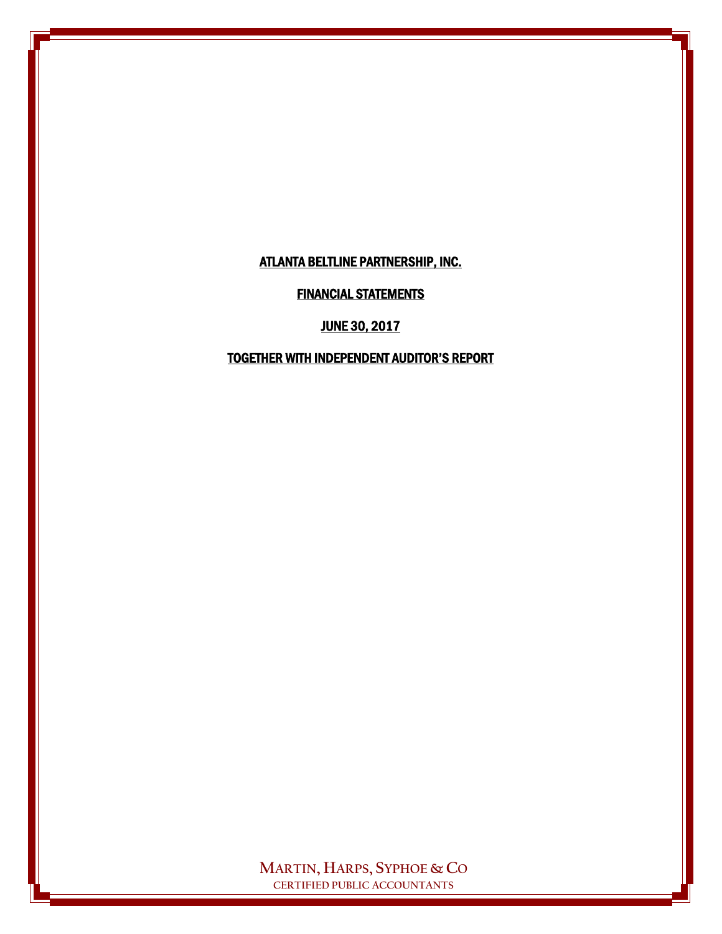FINANCIAL STATEMENTS

JUNE 30, 2017

TOGETHER WITH INDEPENDENT AUDITOR'S REPORT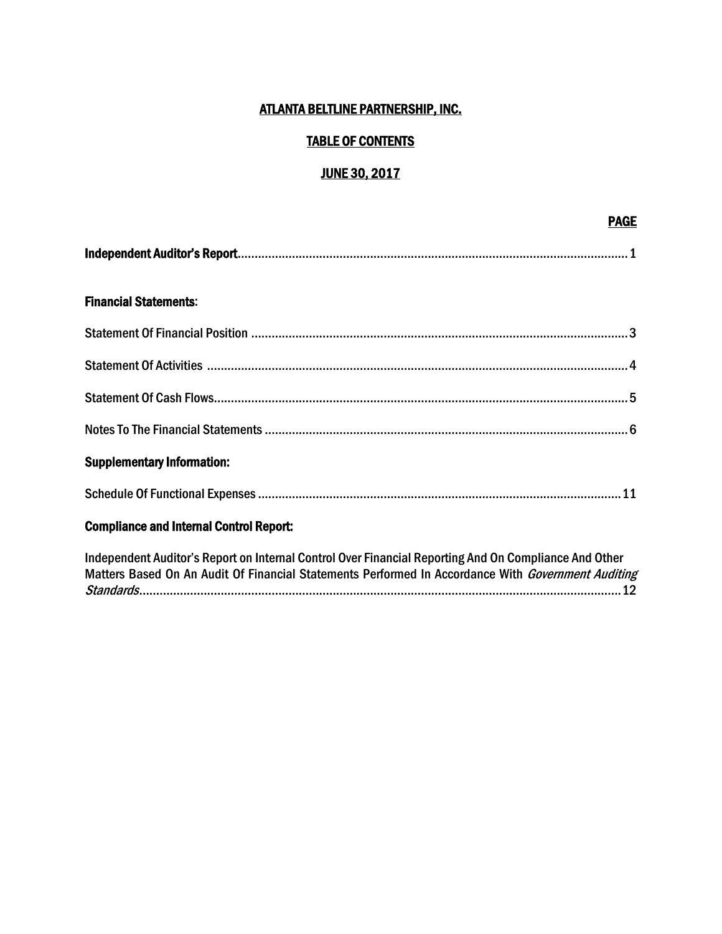# TABLE OF CONTENTS

# JUNE 30, 2017

en de la provincia de la provincia de la provincia de la provincia de la provincia de la provincia de la provi

| <b>Financial Statements:</b>                                                                          |  |
|-------------------------------------------------------------------------------------------------------|--|
|                                                                                                       |  |
|                                                                                                       |  |
|                                                                                                       |  |
|                                                                                                       |  |
| <b>Supplementary Information:</b>                                                                     |  |
|                                                                                                       |  |
| <b>Compliance and Internal Control Report:</b>                                                        |  |
| Independent Auditor's Report on Internal Control Over Financial Reporting And On Compliance And Other |  |

Independent Auditor's Report on Internal Control Over Financial Reporting And On Compliance And Other Matters Based On An Audit Of Financial Statements Performed In Accordance With Government Auditing Standards..............................................................................................................................................12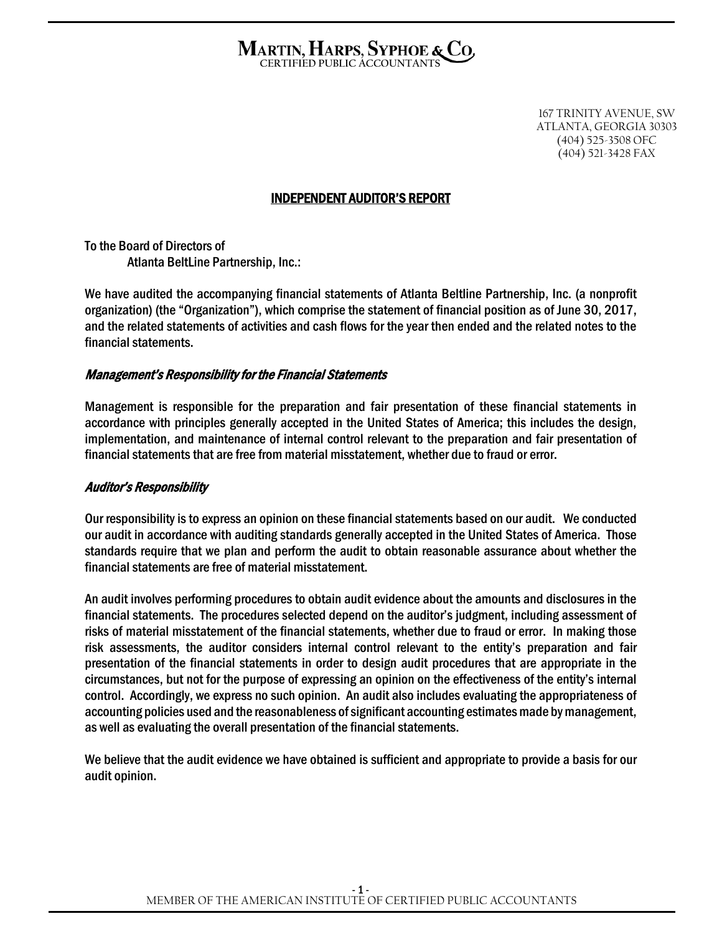

167 TRINITY AVENUE, SW ATLANTA, GEORGIA 30303 (404) 525-3508 OFC (404) 521-3428 FAX

#### INDEPENDENT AUDITOR'S REPORT

To the Board of Directors of Atlanta BeltLine Partnership, Inc.:

We have audited the accompanying financial statements of Atlanta Beltline Partnership, Inc. (a nonprofit organization) (the "Organization"), which comprise the statement of financial position as of June 30, 2017, and the related statements of activities and cash flows for the year then ended and the related notes to the financial statements.

#### Management's Responsibility for the Financial Statements

Management is responsible for the preparation and fair presentation of these financial statements in accordance with principles generally accepted in the United States of America; this includes the design, implementation, and maintenance of internal control relevant to the preparation and fair presentation of financial statements that are free from material misstatement, whether due to fraud or error.

#### Auditor's Responsibility

Our responsibility is to express an opinion on these financial statements based on our audit. We conducted our audit in accordance with auditing standards generally accepted in the United States of America. Those standards require that we plan and perform the audit to obtain reasonable assurance about whether the financial statements are free of material misstatement.

An audit involves performing procedures to obtain audit evidence about the amounts and disclosures in the financial statements. The procedures selected depend on the auditor's judgment, including assessment of risks of material misstatement of the financial statements, whether due to fraud or error. In making those risk assessments, the auditor considers internal control relevant to the entity's preparation and fair presentation of the financial statements in order to design audit procedures that are appropriate in the circumstances, but not for the purpose of expressing an opinion on the effectiveness of the entity's internal control. Accordingly, we express no such opinion. An audit also includes evaluating the appropriateness of accounting policies used and the reasonableness of significant accounting estimates made by management, as well as evaluating the overall presentation of the financial statements.

We believe that the audit evidence we have obtained is sufficient and appropriate to provide a basis for our audit opinion.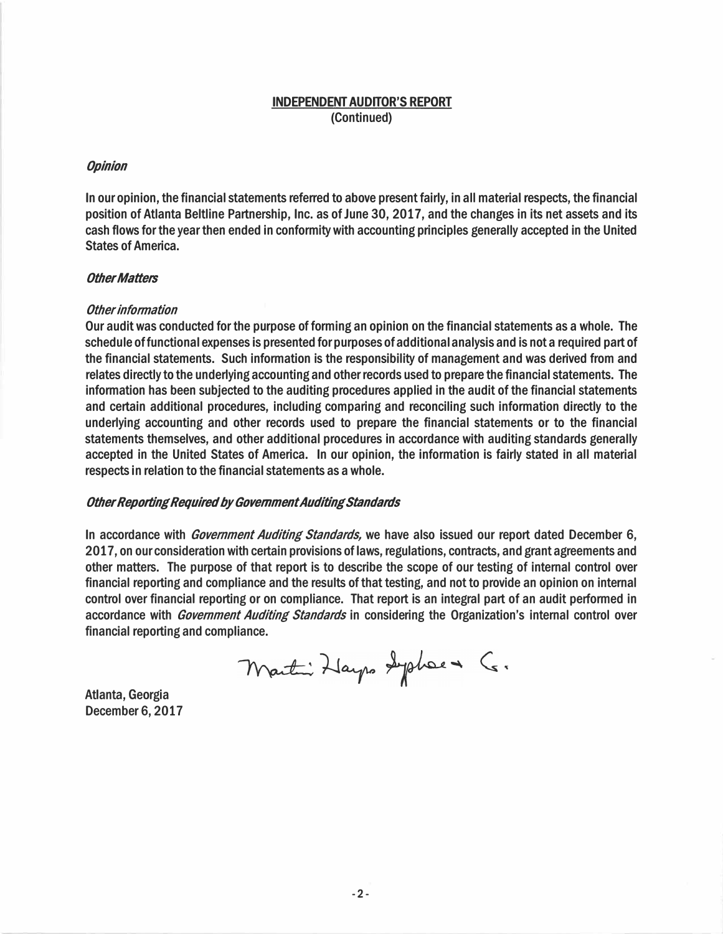#### INDEPENDENT AUDITOR'S REPORT (Continued)

#### **Opinion**

In our opinion, the financial statements referred to above present fairly, in all material respects, the financial position of Atlanta Beltline Partnership, Inc. as of June 30, 2017, and the changes in its net assets and its cash flows for the year then ended in conformity with accounting principles generally accepted in the United States of America.

#### Other Matters

#### Other information

Our audit was conducted for the purpose of forming an opinion on the financial statements as a whole. The schedule of functional expenses is presented for purposes of additional analysis and is not a required part of the financial statements. Such information is the responsibility of management and was derived from and relates directly to the underlying accounting and other records used to prepare the financial statements. The information has been subjected to the auditing procedures applied in the audit of the financial statements and certain additional procedures, including comparing and reconciling such information directly to the underlying accounting and other records used to prepare the financial statements or to the financial statements themselves, and other additional procedures in accordance with auditing standards generally accepted in the United States of America. In our opinion, the information is fairly stated in all material respects in relation to the financial statements as a whole.

#### Other Reporting Required by Govemment Auditing Standards

In accordance with *Government Auditing Standards*, we have also issued our report dated December 6, 2017, on our consideration with certain provisions of laws, regulations, contracts, and grant agreements and other matters. The purpose of that report is to describe the scope of our testing of internal control over financial reporting and compliance and the results of that testing, and not to provide an opinion on internal control over financial reporting or on compliance. That report is an integral part of an audit performed in accordance with *Government Auditing Standards* in considering the Organization's internal control over financial reporting and compliance.

Martin Hayrs Syphere &.

Atlanta, Georgia December 6, 2017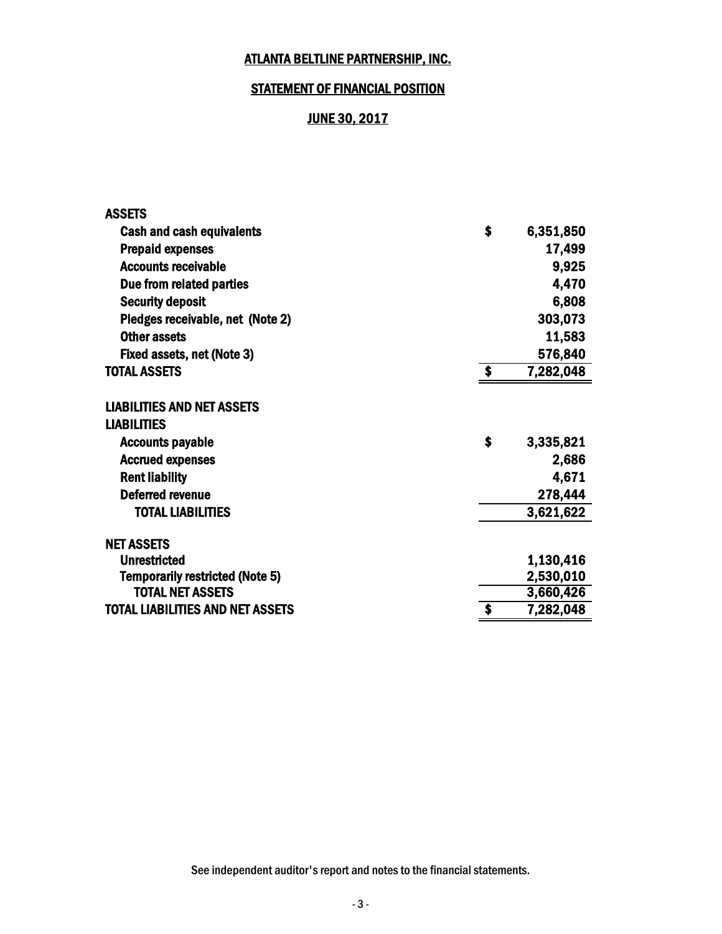# STATEMENT OF FINANCIAL POSITION

JUNE 30, 2017

| <b>ASSETS</b>                                           |    |           |
|---------------------------------------------------------|----|-----------|
| <b>Cash and cash equivalents</b>                        | \$ | 6,351,850 |
| <b>Prepaid expenses</b>                                 |    | 17,499    |
| <b>Accounts receivable</b>                              |    | 9,925     |
| Due from related parties                                |    | 4,470     |
| <b>Security deposit</b>                                 |    | 6,808     |
| Pledges receivable, net (Note 2)                        |    | 303,073   |
| Other assets                                            |    | 11,583    |
| Fixed assets, net (Note 3)                              |    | 576,840   |
| <b>TOTAL ASSETS</b>                                     | \$ | 7,282,048 |
| <b>LIABILITIES AND NET ASSETS</b><br><b>LIABILITIES</b> |    |           |
| <b>Accounts payable</b>                                 | S  | 3,335,821 |
| <b>Accrued expenses</b>                                 |    | 2,686     |
| <b>Rent liability</b>                                   |    | 4,671     |
| <b>Deferred revenue</b>                                 |    | 278,444   |
| <b>TOTAL LIABILITIES</b>                                |    | 3,621,622 |
| <b>NET ASSETS</b>                                       |    |           |
| <b>Unrestricted</b>                                     |    | 1,130,416 |
| <b>Temporarily restricted (Note 5)</b>                  |    | 2,530,010 |
| <b>TOTAL NET ASSETS</b>                                 |    | 3,660,426 |
| <b>TOTAL LIABILITIES AND NET ASSETS</b>                 | \$ | 7,282,048 |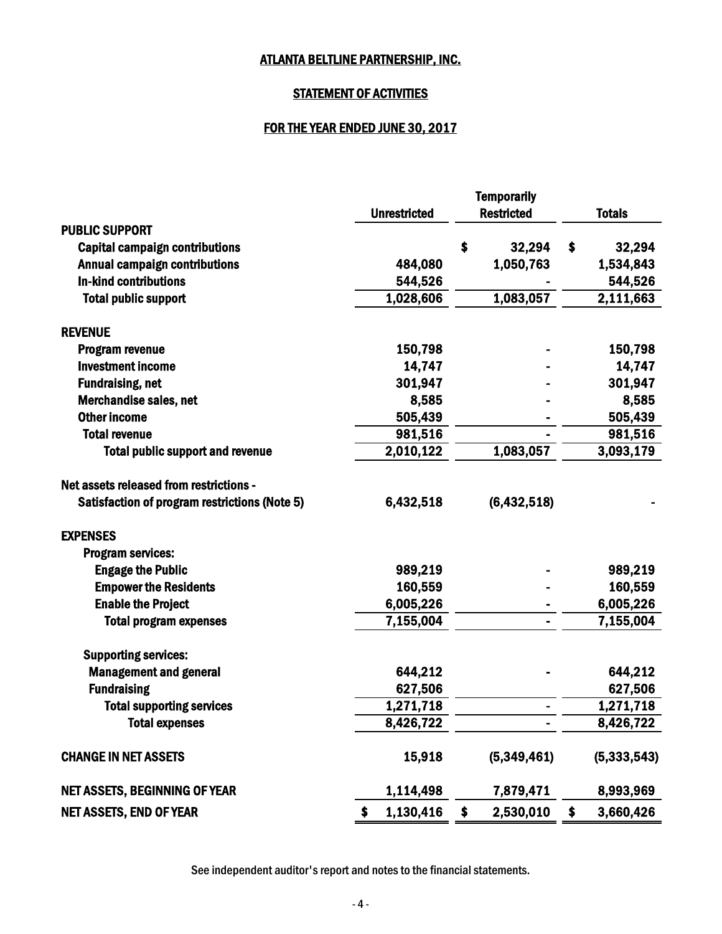# STATEMENT OF ACTIVITIES

# FOR THE YEAR ENDED JUNE 30, 2017

|                                                      | <b>Temporarily</b>  |                   |    |               |  |  |
|------------------------------------------------------|---------------------|-------------------|----|---------------|--|--|
|                                                      | <b>Unrestricted</b> | <b>Restricted</b> |    | <b>Totals</b> |  |  |
| <b>PUBLIC SUPPORT</b>                                |                     |                   |    |               |  |  |
| <b>Capital campaign contributions</b>                |                     | \$<br>32,294      | \$ | 32,294        |  |  |
| <b>Annual campaign contributions</b>                 | 484,080             | 1,050,763         |    | 1,534,843     |  |  |
| <b>In-kind contributions</b>                         | 544,526             |                   |    | 544,526       |  |  |
| <b>Total public support</b>                          | 1,028,606           | 1,083,057         |    | 2,111,663     |  |  |
| <b>REVENUE</b>                                       |                     |                   |    |               |  |  |
| <b>Program revenue</b>                               | 150,798             |                   |    | 150,798       |  |  |
| <b>Investment income</b>                             | 14,747              |                   |    | 14,747        |  |  |
| <b>Fundraising, net</b>                              | 301,947             |                   |    | 301,947       |  |  |
| Merchandise sales, net                               | 8,585               |                   |    | 8,585         |  |  |
| <b>Other income</b>                                  | 505,439             |                   |    | 505,439       |  |  |
| <b>Total revenue</b>                                 | 981,516             |                   |    | 981,516       |  |  |
| <b>Total public support and revenue</b>              | 2,010,122           | 1,083,057         |    | 3,093,179     |  |  |
| Net assets released from restrictions -              |                     |                   |    |               |  |  |
| <b>Satisfaction of program restrictions (Note 5)</b> | 6,432,518           | (6,432,518)       |    |               |  |  |
| <b>EXPENSES</b>                                      |                     |                   |    |               |  |  |
| <b>Program services:</b>                             |                     |                   |    |               |  |  |
| <b>Engage the Public</b>                             | 989,219             |                   |    | 989,219       |  |  |
| <b>Empower the Residents</b>                         | 160,559             |                   |    | 160,559       |  |  |
| <b>Enable the Project</b>                            | 6,005,226           |                   |    | 6,005,226     |  |  |
| <b>Total program expenses</b>                        | 7,155,004           |                   |    | 7,155,004     |  |  |
| <b>Supporting services:</b>                          |                     |                   |    |               |  |  |
| <b>Management and general</b>                        | 644,212             |                   |    | 644,212       |  |  |
| <b>Fundraising</b>                                   | 627,506             |                   |    | 627,506       |  |  |
| <b>Total supporting services</b>                     | 1,271,718           |                   |    | 1,271,718     |  |  |
| <b>Total expenses</b>                                | 8,426,722           |                   |    | 8,426,722     |  |  |
| <b>CHANGE IN NET ASSETS</b>                          | 15,918              | (5,349,461)       |    | (5, 333, 543) |  |  |
| NET ASSETS, BEGINNING OF YEAR                        | 1,114,498           | 7,879,471         |    | 8,993,969     |  |  |
| <b>NET ASSETS, END OF YEAR</b>                       | 1,130,416<br>\$     | \$<br>2,530,010   | \$ | 3,660,426     |  |  |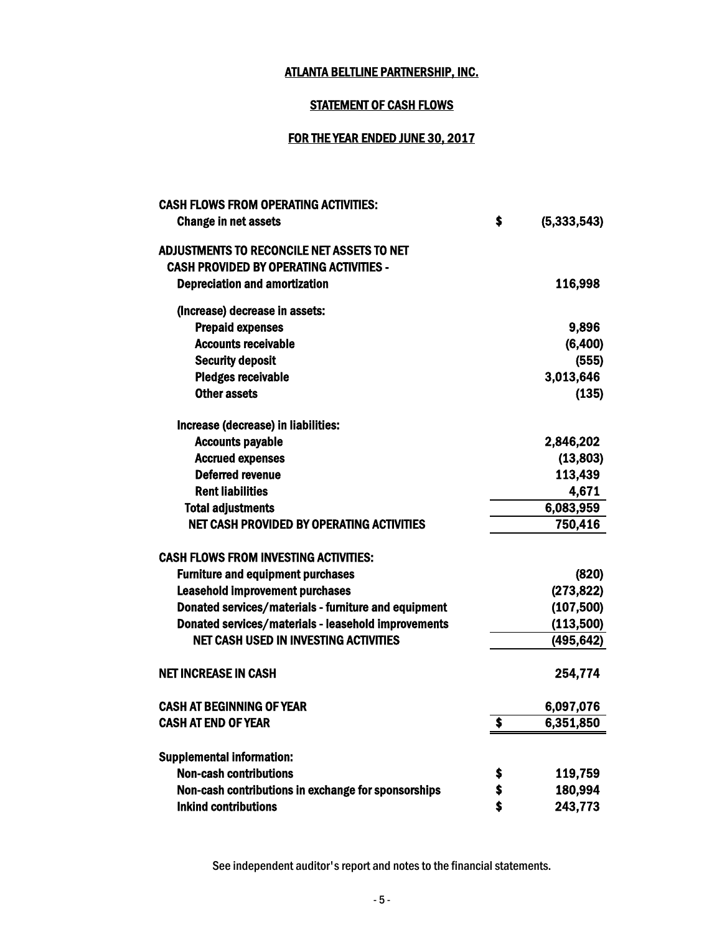### STATEMENT OF CASH FLOWS

# FOR THE YEAR ENDED JUNE 30, 2017

| <b>CASH FLOWS FROM OPERATING ACTIVITIES:</b>         |                             |             |
|------------------------------------------------------|-----------------------------|-------------|
| <b>Change in net assets</b>                          | \$                          | (5,333,543) |
| ADJUSTMENTS TO RECONCILE NET ASSETS TO NET           |                             |             |
| <b>CASH PROVIDED BY OPERATING ACTIVITIES -</b>       |                             |             |
| <b>Depreciation and amortization</b>                 |                             | 116,998     |
| (Increase) decrease in assets:                       |                             |             |
| <b>Prepaid expenses</b>                              |                             | 9,896       |
| <b>Accounts receivable</b>                           |                             | (6, 400)    |
| <b>Security deposit</b>                              |                             | (555)       |
| <b>Pledges receivable</b>                            |                             | 3,013,646   |
| <b>Other assets</b>                                  |                             | (135)       |
| Increase (decrease) in liabilities:                  |                             |             |
| <b>Accounts payable</b>                              |                             | 2,846,202   |
| <b>Accrued expenses</b>                              |                             | (13, 803)   |
| <b>Deferred revenue</b>                              |                             | 113,439     |
| <b>Rent liabilities</b>                              |                             | 4,671       |
| <b>Total adjustments</b>                             |                             | 6,083,959   |
| NET CASH PROVIDED BY OPERATING ACTIVITIES            |                             | 750,416     |
| <b>CASH FLOWS FROM INVESTING ACTIVITIES:</b>         |                             |             |
| <b>Furniture and equipment purchases</b>             |                             | (820)       |
| <b>Leasehold improvement purchases</b>               |                             | (273, 822)  |
| Donated services/materials - furniture and equipment |                             | (107, 500)  |
| Donated services/materials - leasehold improvements  |                             | (113,500)   |
| <b>NET CASH USED IN INVESTING ACTIVITIES</b>         |                             | (495, 642)  |
| <b>NET INCREASE IN CASH</b>                          |                             | 254,774     |
| <b>CASH AT BEGINNING OF YEAR</b>                     |                             | 6,097,076   |
| <b>CASH AT END OF YEAR</b>                           | $\overline{\boldsymbol{s}}$ | 6,351,850   |
| <b>Supplemental information:</b>                     |                             |             |
| <b>Non-cash contributions</b>                        | \$                          | 119,759     |
| Non-cash contributions in exchange for sponsorships  | \$                          | 180,994     |
| <b>Inkind contributions</b>                          | \$                          | 243,773     |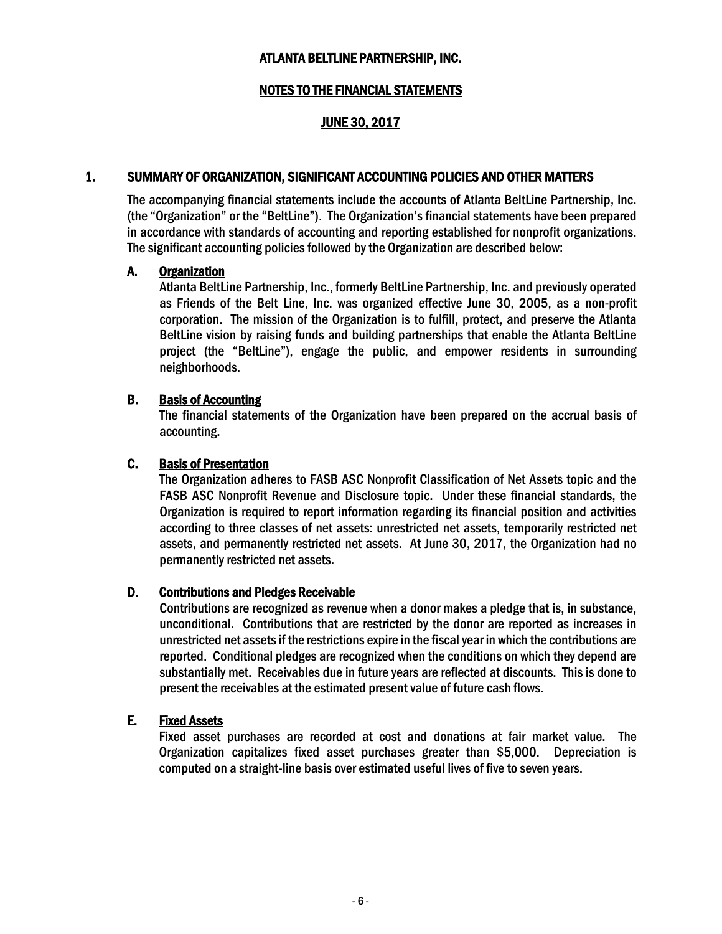#### NOTES TO THE FINANCIAL STATEMENTS

# JUNE 30, 2017

### 1. SUMMARY OF ORGANIZATION, SIGNIFICANT ACCOUNTING POLICIES AND OTHER MATTERS

The accompanying financial statements include the accounts of Atlanta BeltLine Partnership, Inc. (the "Organization" or the "BeltLine"). The Organization's financial statements have been prepared in accordance with standards of accounting and reporting established for nonprofit organizations. The significant accounting policies followed by the Organization are described below:

### A. Organization

Atlanta BeltLine Partnership, Inc., formerly BeltLine Partnership, Inc. and previously operated as Friends of the Belt Line, Inc. was organized effective June 30, 2005, as a non-profit corporation. The mission of the Organization is to fulfill, protect, and preserve the Atlanta BeltLine vision by raising funds and building partnerships that enable the Atlanta BeltLine project (the "BeltLine"), engage the public, and empower residents in surrounding neighborhoods.

#### B. Basis of Accounting

The financial statements of the Organization have been prepared on the accrual basis of accounting.

### C. Basis of Presentation

The Organization adheres to FASB ASC Nonprofit Classification of Net Assets topic and the FASB ASC Nonprofit Revenue and Disclosure topic. Under these financial standards, the Organization is required to report information regarding its financial position and activities according to three classes of net assets: unrestricted net assets, temporarily restricted net assets, and permanently restricted net assets. At June 30, 2017, the Organization had no permanently restricted net assets.

#### D. Contributions and Pledges Receivable

Contributions are recognized as revenue when a donor makes a pledge that is, in substance, unconditional. Contributions that are restricted by the donor are reported as increases in unrestricted net assets if the restrictions expire in the fiscal year in which the contributions are reported. Conditional pledges are recognized when the conditions on which they depend are substantially met. Receivables due in future years are reflected at discounts. This is done to present the receivables at the estimated present value of future cash flows.

#### E. Fixed Assets

Fixed asset purchases are recorded at cost and donations at fair market value. The Organization capitalizes fixed asset purchases greater than \$5,000. Depreciation is computed on a straight-line basis over estimated useful lives of five to seven years.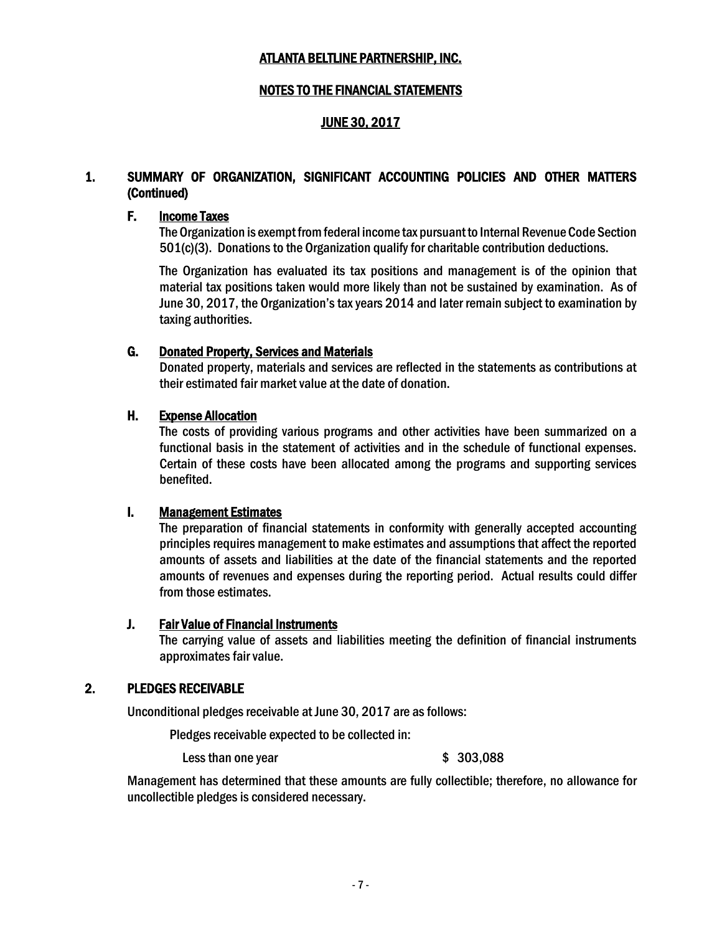#### NOTES TO THE FINANCIAL STATEMENTS

# JUNE 30, 2017

# 1. SUMMARY OF ORGANIZATION, SIGNIFICANT ACCOUNTING POLICIES AND OTHER MATTERS (Continued)

#### F. Income Taxes

The Organization is exempt from federal income tax pursuant to Internal Revenue Code Section 501(c)(3). Donations to the Organization qualify for charitable contribution deductions.

The Organization has evaluated its tax positions and management is of the opinion that material tax positions taken would more likely than not be sustained by examination. As of June 30, 2017, the Organization's tax years 2014 and later remain subject to examination by taxing authorities.

#### G. Donated Property, Services and Materials

Donated property, materials and services are reflected in the statements as contributions at their estimated fair market value at the date of donation.

#### H. Expense Allocation

The costs of providing various programs and other activities have been summarized on a functional basis in the statement of activities and in the schedule of functional expenses. Certain of these costs have been allocated among the programs and supporting services benefited.

#### I. Management Estimates

The preparation of financial statements in conformity with generally accepted accounting principles requires management to make estimates and assumptions that affect the reported amounts of assets and liabilities at the date of the financial statements and the reported amounts of revenues and expenses during the reporting period. Actual results could differ from those estimates.

#### J. Fair Value of Financial Instruments

The carrying value of assets and liabilities meeting the definition of financial instruments approximates fair value.

#### 2. PLEDGES RECEIVABLE

Unconditional pledges receivable at June 30, 2017 are as follows:

Pledges receivable expected to be collected in:

 $\textsf{Less}$  than one year  $\textsf{5}$  303,088

Management has determined that these amounts are fully collectible; therefore, no allowance for uncollectible pledges is considered necessary.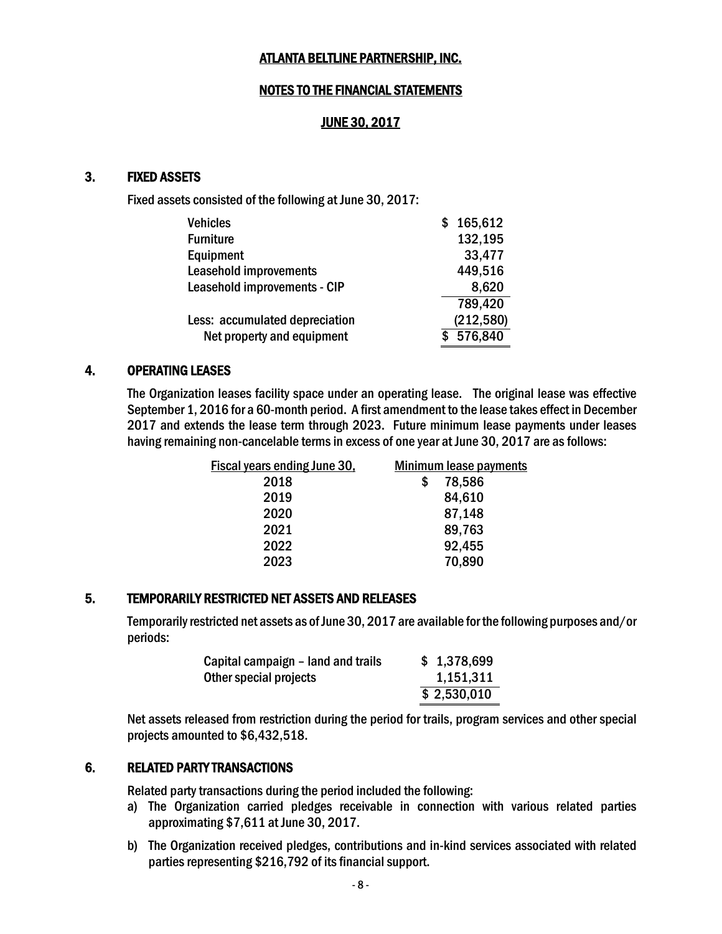#### NOTES TO THE FINANCIAL STATEMENTS

# JUNE 30, 2017

#### 3. FIXED ASSETS

Fixed assets consisted of the following at June 30, 2017:

| <b>Vehicles</b>                | S | 165,612   |
|--------------------------------|---|-----------|
| <b>Furniture</b>               |   | 132,195   |
| Equipment                      |   | 33,477    |
| <b>Leasehold improvements</b>  |   | 449,516   |
| Leasehold improvements - CIP   |   | 8,620     |
|                                |   | 789,420   |
| Less: accumulated depreciation |   | (212,580) |
| Net property and equipment     |   | 576,840   |

# 4. OPERATING LEASES

 The Organization leases facility space under an operating lease. The original lease was effective September 1, 2016 for a 60-month period. A first amendment to the lease takes effect in December 2017 and extends the lease term through 2023. Future minimum lease payments under leases having remaining non-cancelable terms in excess of one year at June 30, 2017 are as follows:

| Fiscal years ending June 30, | Minimum lease payments |
|------------------------------|------------------------|
| 2018                         | 78,586<br>S            |
| 2019                         | 84,610                 |
| 2020                         | 87,148                 |
| 2021                         | 89,763                 |
| 2022                         | 92,455                 |
| 2023                         | 70,890                 |

#### 5. TEMPORARILY RESTRICTED NET ASSETS AND RELEASES

Temporarily restricted net assets as of June 30, 2017 are available for the following purposes and/or periods:

| Capital campaign – land and trails |  | \$1,378,699 |
|------------------------------------|--|-------------|
| Other special projects             |  | 1,151,311   |
|                                    |  | \$2,530,010 |

Net assets released from restriction during the period for trails, program services and other special projects amounted to \$6,432,518.

#### 6. RELATED PARTY TRANSACTIONS

Related party transactions during the period included the following:

- a) The Organization carried pledges receivable in connection with various related parties approximating \$7,611 at June 30, 2017.
- b) The Organization received pledges, contributions and in-kind services associated with related parties representing \$216,792 of its financial support.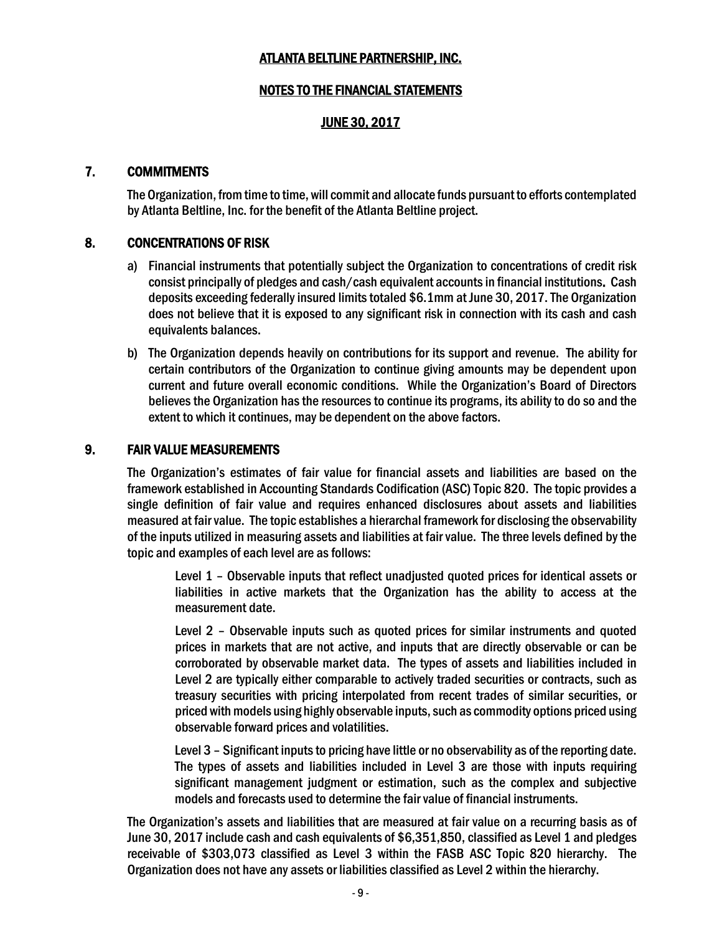#### NOTES TO THE FINANCIAL STATEMENTS

# JUNE 30, 2017

#### 7. COMMITMENTS

 The Organization, from time to time, will commit and allocate funds pursuant to efforts contemplated by Atlanta Beltline, Inc. for the benefit of the Atlanta Beltline project.

### 8. CONCENTRATIONS OF RISK

- a) Financial instruments that potentially subject the Organization to concentrations of credit risk consist principally of pledges and cash/cash equivalent accounts in financial institutions. Cash deposits exceeding federally insured limits totaled \$6.1mm at June 30, 2017. The Organization does not believe that it is exposed to any significant risk in connection with its cash and cash equivalents balances.
- b) The Organization depends heavily on contributions for its support and revenue. The ability for certain contributors of the Organization to continue giving amounts may be dependent upon current and future overall economic conditions. While the Organization's Board of Directors believes the Organization has the resources to continue its programs, its ability to do so and the extent to which it continues, may be dependent on the above factors.

### 9. FAIR VALUE MEASUREMENTS

The Organization's estimates of fair value for financial assets and liabilities are based on the framework established in Accounting Standards Codification (ASC) Topic 820. The topic provides a single definition of fair value and requires enhanced disclosures about assets and liabilities measured at fair value. The topic establishes a hierarchal framework for disclosing the observability of the inputs utilized in measuring assets and liabilities at fair value. The three levels defined by the topic and examples of each level are as follows:

Level 1 – Observable inputs that reflect unadjusted quoted prices for identical assets or liabilities in active markets that the Organization has the ability to access at the measurement date.

Level 2 – Observable inputs such as quoted prices for similar instruments and quoted prices in markets that are not active, and inputs that are directly observable or can be corroborated by observable market data. The types of assets and liabilities included in Level 2 are typically either comparable to actively traded securities or contracts, such as treasury securities with pricing interpolated from recent trades of similar securities, or priced with models using highly observable inputs, such as commodity options priced using observable forward prices and volatilities.

Level 3 – Significant inputs to pricing have little or no observability as of the reporting date. The types of assets and liabilities included in Level 3 are those with inputs requiring significant management judgment or estimation, such as the complex and subjective models and forecasts used to determine the fair value of financial instruments.

The Organization's assets and liabilities that are measured at fair value on a recurring basis as of June 30, 2017 include cash and cash equivalents of \$6,351,850, classified as Level 1 and pledges receivable of \$303,073 classified as Level 3 within the FASB ASC Topic 820 hierarchy. The Organization does not have any assets or liabilities classified as Level 2 within the hierarchy.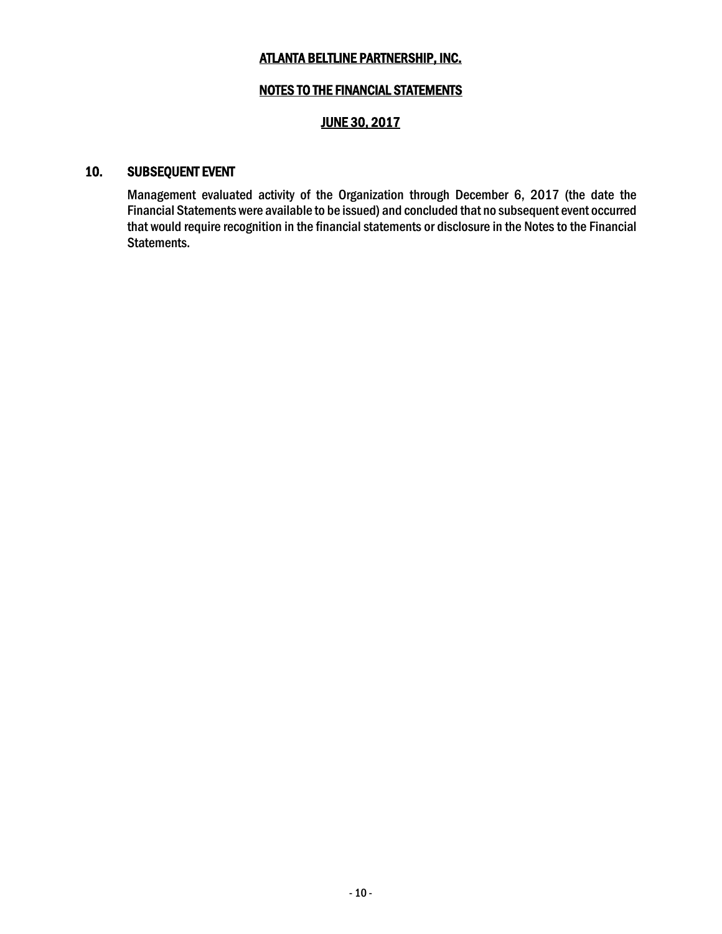#### NOTES TO THE FINANCIAL STATEMENTS

### JUNE 30, 2017

# 10. SUBSEQUENT EVENT

Management evaluated activity of the Organization through December 6, 2017 (the date the Financial Statements were available to be issued) and concluded that no subsequent event occurred that would require recognition in the financial statements or disclosure in the Notes to the Financial Statements.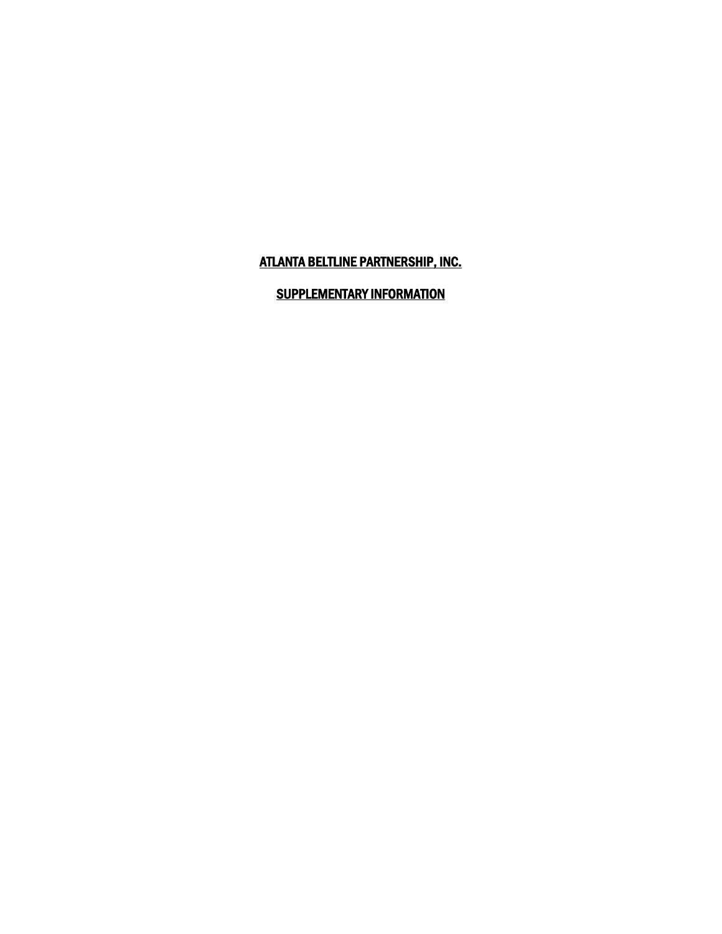**SUPPLEMENTARY INFORMATION**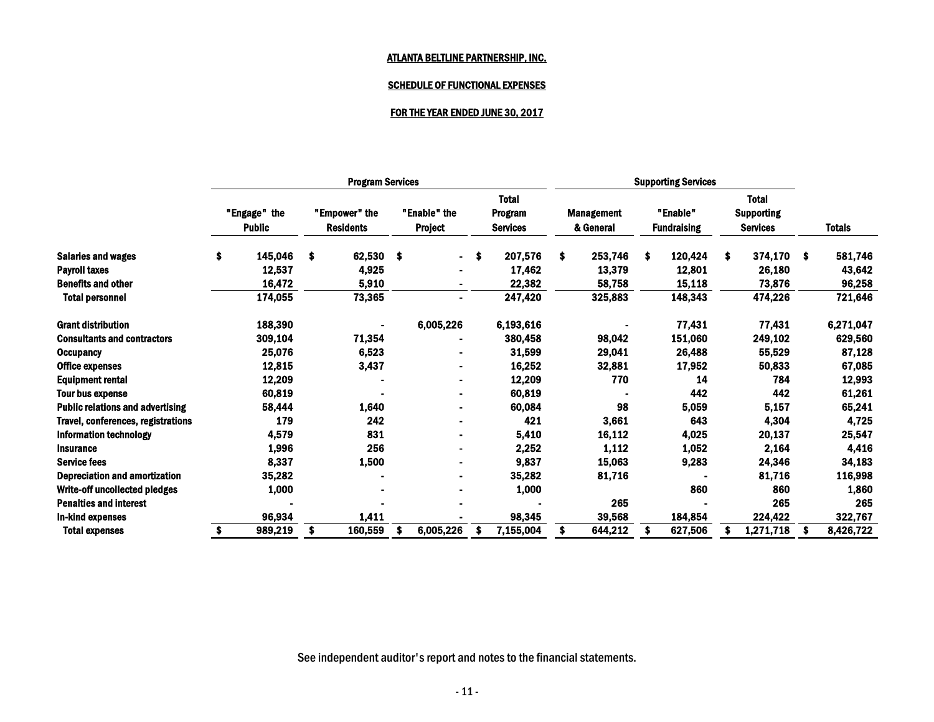#### SCHEDULE OF FUNCTIONAL EXPENSES

#### FOR THE YEAR ENDED JUNE 30, 2017

|                                         | <b>Program Services</b> |                               |                                   |        |    |                                |      |                                                   | <b>Supporting Services</b> |                         |    |                                |   |                                                      |               |
|-----------------------------------------|-------------------------|-------------------------------|-----------------------------------|--------|----|--------------------------------|------|---------------------------------------------------|----------------------------|-------------------------|----|--------------------------------|---|------------------------------------------------------|---------------|
|                                         |                         | "Engage" the<br><b>Public</b> | "Empower" the<br><b>Residents</b> |        |    | "Enable" the<br><b>Project</b> |      | <b>Total</b><br><b>Program</b><br><b>Services</b> |                            | Management<br>& General |    | "Enable"<br><b>Fundraising</b> |   | <b>Total</b><br><b>Supporting</b><br><b>Services</b> | <b>Totals</b> |
| <b>Salaries and wages</b>               | S                       | 145,046                       | S                                 | 62,530 | \$ |                                | - \$ | 207,576                                           | -S                         | 253,746                 | S. | 120,424                        | s | 374,170 \$                                           | 581,746       |
| <b>Payroll taxes</b>                    |                         | 12,537                        |                                   | 4,925  |    |                                |      | 17,462                                            |                            | 13,379                  |    | 12,801                         |   | 26,180                                               | 43,642        |
| <b>Benefits and other</b>               |                         | 16,472                        |                                   | 5,910  |    |                                |      | 22,382                                            |                            | 58,758                  |    | 15,118                         |   | 73,876                                               | 96,258        |
| <b>Total personnel</b>                  |                         | 174,055                       | 73,365                            |        |    |                                |      | 247,420                                           |                            | 325,883                 |    | 148,343                        |   | 474,226                                              | 721,646       |
| <b>Grant distribution</b>               |                         | 188,390                       |                                   |        |    | 6,005,226                      |      | 6,193,616                                         |                            |                         |    | 77,431                         |   | 77,431                                               | 6,271,047     |
| <b>Consultants and contractors</b>      |                         | 309,104                       | 71,354                            |        |    |                                |      | 380,458                                           |                            | 98,042                  |    | 151,060                        |   | 249,102                                              | 629,560       |
| <b>Occupancy</b>                        |                         | 25,076                        |                                   | 6,523  |    |                                |      | 31,599                                            |                            | 29,041                  |    | 26,488                         |   | 55,529                                               | 87,128        |
| <b>Office expenses</b>                  |                         | 12,815                        |                                   | 3,437  |    |                                |      | 16,252                                            |                            | 32,881                  |    | 17,952                         |   | 50,833                                               | 67,085        |
| <b>Equipment rental</b>                 |                         | 12,209                        |                                   |        |    |                                |      | 12,209                                            |                            | 770                     |    | 14                             |   | 784                                                  | 12,993        |
| <b>Tour bus expense</b>                 |                         | 60,819                        |                                   |        |    |                                |      | 60,819                                            |                            |                         |    | 442                            |   | 442                                                  | 61,261        |
| <b>Public relations and advertising</b> |                         | 58,444                        |                                   | 1,640  |    |                                |      | 60,084                                            |                            | 98                      |    | 5,059                          |   | 5,157                                                | 65,241        |
| Travel, conferences, registrations      |                         | 179                           |                                   | 242    |    |                                |      | 421                                               |                            | 3,661                   |    | 643                            |   | 4,304                                                | 4,725         |
| <b>Information technology</b>           |                         | 4,579                         |                                   | 831    |    |                                |      | 5,410                                             |                            | 16,112                  |    | 4,025                          |   | 20,137                                               | 25,547        |
| <b>Insurance</b>                        |                         | 1,996                         |                                   | 256    |    |                                |      | 2,252                                             |                            | 1,112                   |    | 1,052                          |   | 2,164                                                | 4,416         |
| <b>Service fees</b>                     |                         | 8,337                         |                                   | 1,500  |    |                                |      | 9,837                                             |                            | 15,063                  |    | 9,283                          |   | 24,346                                               | 34,183        |
| <b>Depreciation and amortization</b>    |                         | 35,282                        |                                   |        |    |                                |      | 35,282                                            |                            | 81,716                  |    |                                |   | 81,716                                               | 116,998       |
| Write-off uncollected pledges           |                         | 1,000                         |                                   |        |    |                                |      | 1,000                                             |                            |                         |    | 860                            |   | 860                                                  | 1,860         |
| <b>Penalties and interest</b>           |                         |                               |                                   |        |    |                                |      |                                                   |                            | 265                     |    |                                |   | 265                                                  | 265           |
| In-kind expenses                        |                         | 96,934                        |                                   | 1,411  |    |                                |      | 98,345                                            |                            | 39,568                  |    | 184,854                        |   | 224,422                                              | 322,767       |
| <b>Total expenses</b>                   |                         | 989,219                       | 160,559<br>\$                     |        |    | 6,005,226                      |      | 7,155,004                                         |                            | 644,212                 |    | 627,506                        |   | 1,271,718                                            | 8,426,722     |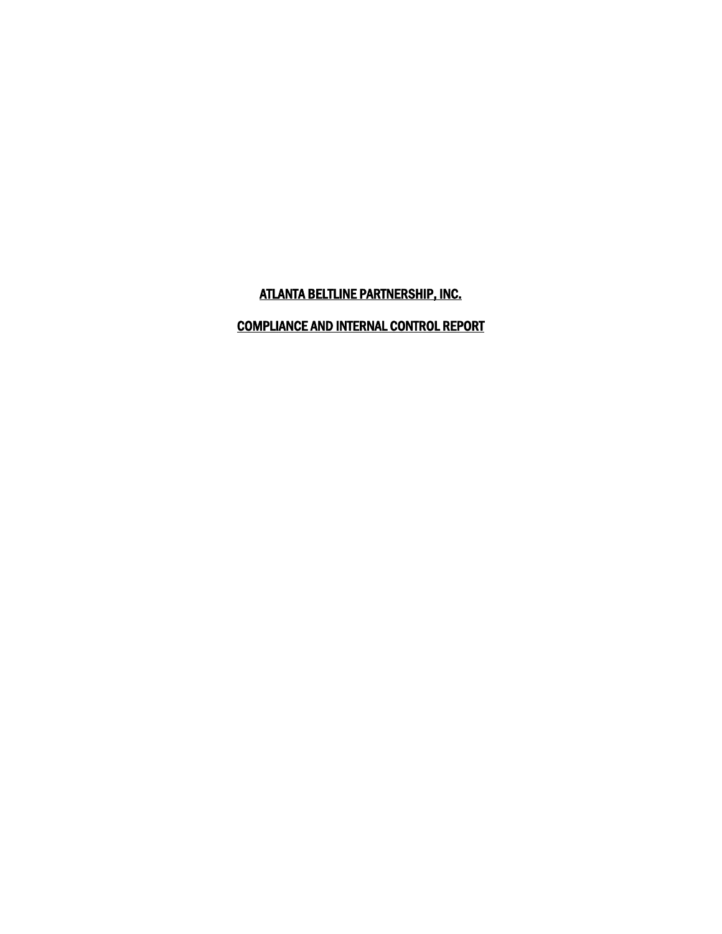# COMPLIANCE AND INTERNAL CONTROL REPORT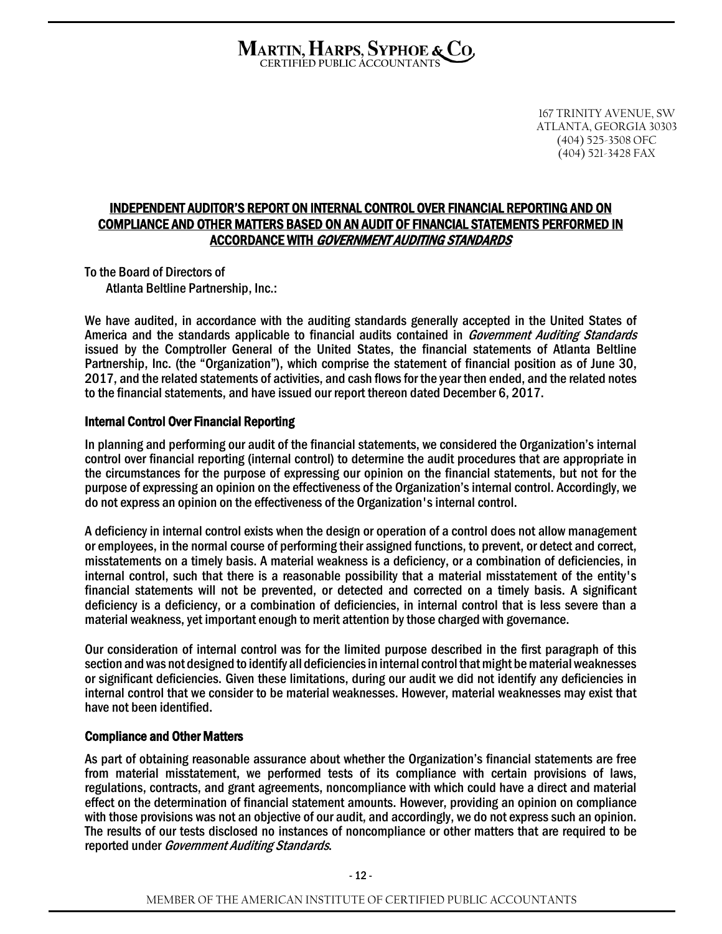# **MARTIN, HARPS, SYPHOE & CO.**<br>CERTIFIED PUBLIC ACCOUNTANTS

167 TRINITY AVENUE, SW ATLANTA, GEORGIA 30303 (404) 525-3508 OFC (404) 521-3428 FAX

#### INDEPENDENT AUDITOR'S REPORT ON INTERNAL CONTROL OVER FINANCIAL REPORTING AND ON COMPLIANCE AND OTHER MATTERS BASED ON AN AUDIT OF FINANCIAL STATEMENTS PERFORMED IN ACCORDANCE WITH GOVERNMENT AUDITING STANDARDS

To the Board of Directors of Atlanta Beltline Partnership, Inc.:

We have audited, in accordance with the auditing standards generally accepted in the United States of America and the standards applicable to financial audits contained in *Government Auditing Standards* issued by the Comptroller General of the United States, the financial statements of Atlanta Beltline Partnership, Inc. (the "Organization"), which comprise the statement of financial position as of June 30, 2017, and the related statements of activities, and cash flows for the year then ended, and the related notes to the financial statements, and have issued our report thereon dated December 6, 2017.

#### Internal Control Over Financial Reporting

In planning and performing our audit of the financial statements, we considered the Organization's internal control over financial reporting (internal control) to determine the audit procedures that are appropriate in the circumstances for the purpose of expressing our opinion on the financial statements, but not for the purpose of expressing an opinion on the effectiveness of the Organization's internal control. Accordingly, we do not express an opinion on the effectiveness of the Organization's internal control.

A deficiency in internal control exists when the design or operation of a control does not allow management or employees, in the normal course of performing their assigned functions, to prevent, or detect and correct, misstatements on a timely basis. A material weakness is a deficiency, or a combination of deficiencies, in internal control, such that there is a reasonable possibility that a material misstatement of the entity's financial statements will not be prevented, or detected and corrected on a timely basis. A significant deficiency is a deficiency, or a combination of deficiencies, in internal control that is less severe than a material weakness, yet important enough to merit attention by those charged with governance.

Our consideration of internal control was for the limited purpose described in the first paragraph of this section and was not designed to identify all deficiencies in internal control that might be material weaknesses or significant deficiencies. Given these limitations, during our audit we did not identify any deficiencies in internal control that we consider to be material weaknesses. However, material weaknesses may exist that have not been identified.

#### Compliance and Other Matters

As part of obtaining reasonable assurance about whether the Organization's financial statements are free from material misstatement, we performed tests of its compliance with certain provisions of laws, regulations, contracts, and grant agreements, noncompliance with which could have a direct and material effect on the determination of financial statement amounts. However, providing an opinion on compliance with those provisions was not an objective of our audit, and accordingly, we do not express such an opinion. The results of our tests disclosed no instances of noncompliance or other matters that are required to be reported under Government Auditing Standards.